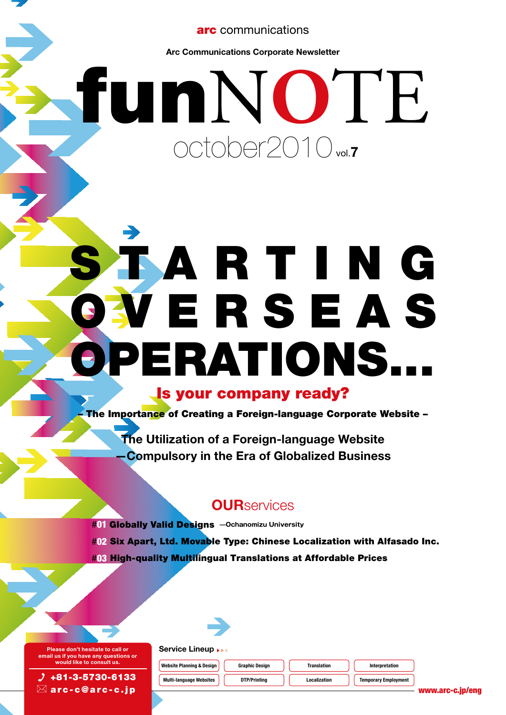arc communications

Arc Communications Corporate Newsletter

# funN**O**TE october2010<sub>vol.7</sub>

# SARTING **WERSEAS** PERATIONS... Is your company ready?

– The Importance of Creating a Foreign-language Corporate Website –

The Utilization of a Foreign-language Website —Compulsory in the Era of Globalized Business

## **OUR**services

#01 Globally Valid Designs **—Ochanomizu University** #02 Six Apart, Ltd. Movable Type: Chinese Localization with Alfasado Inc. #03 High-quality Multilingual Translations at Affordable Prices



arc-c@arc-c.jp

Service Lineup **RE** Website Planning & Design  $\begin{bmatrix} 1 & 0 \\ 0 & 0 \end{bmatrix}$  Graphic Design  $\begin{bmatrix} 1 & 0 \\ 0 & 1 \end{bmatrix}$  Translation  $\begin{bmatrix} 1 & 0 \\ 0 & 1 \end{bmatrix}$  Interpretation

Multi-language Websites **DTP/Printing Temporary Localization** Temporary Employment



www.arc-c.jp/eng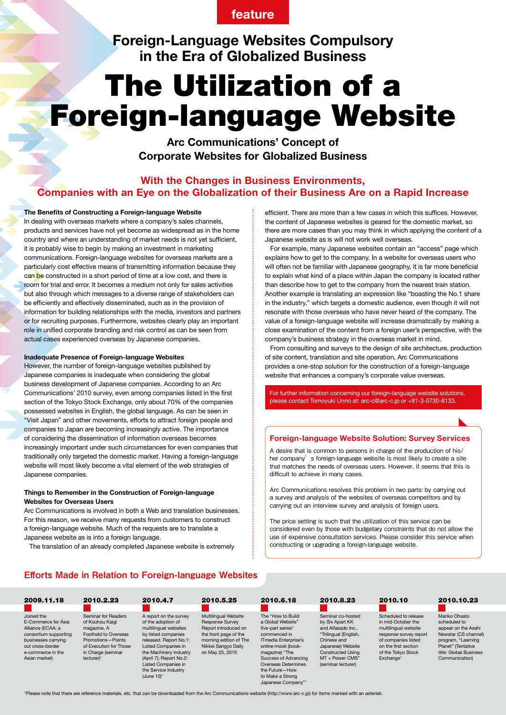## feature

Foreign-Language Websites Compulsory in the Era of Globalized Business

## The Utilization of a Foreign-language Website

Arc Communications' Concept of Corporate Websites for Globalized Business

### With the Changes in Business Environments, Companies with an Eye on the Globalization of their Business Are on a Rapid Increase

#### The Benefits of Constructing a Foreign-language Website

In dealing with overseas markets where a company's sales channels, products and services have not yet become as widespread as in the home country and where an understanding of market needs is not yet sufficient, it is probably wise to begin by making an investment in marketing communications. Foreign-language websites for overseas markets are a particularly cost effective means of transmitting information because they can be constructed in a short period of time at a low cost, and there is room for trial and error. It becomes a medium not only for sales activities but also through which messages to a diverse range of stakeholders can be efficiently and effectively disseminated, such as in the provision of information for building relationships with the media, investors and partners or for recruiting purposes. Furthermore, websites clearly play an important role in unified corporate branding and risk control as can be seen from actual cases experienced overseas by Japanese companies.

#### Inadequate Presence of Foreign-language Websites

However, the number of foreign-language websites published by Japanese companies is inadequate when considering the global business development of Japanese companies. According to an Arc Communications' 2010 survey, even among companies listed in the first section of the Tokyo Stock Exchange, only about 70% of the companies possessed websites in English, the global language. As can be seen in "Visit Japan" and other movements, efforts to attract foreign people and companies to Japan are becoming increasingly active. The importance of considering the dissemination of information overseas becomes increasingly important under such circumstances for even companies that traditionally only targeted the domestic market. Having a foreign-language website will most likely become a vital element of the web strategies of Japanese companies.

#### Things to Remember in the Construction of Foreign-language Websites for Overseas Users

Arc Communications is involved in both a Web and translation businesses. For this reason, we receive many requests from customers to construct a foreign-language website. Much of the requests are to translate a Japanese website as is into a foreign language.

The translation of an already completed Japanese website is extremely

efficient. There are more than a few cases in which this suffices. However, the content of Japanese websites is geared for the domestic market, so there are more cases than you may think in which applying the content of a Japanese website as is will not work well overseas.

 For example, many Japanese websites contain an "access" page which explains how to get to the company. In a website for overseas users who will often not be familiar with Japanese geography, it is far more beneficial to explain what kind of a place within Japan the company is located rather than describe how to get to the company from the nearest train station. Another example is translating an expression like "boasting the No.1 share in the industry," which targets a domestic audience, even though it will not resonate with those overseas who have never heard of the company. The value of a foreign-language website will increase dramatically by making a close examination of the content from a foreign user's perspective, with the company's business strategy in the overseas market in mind.

 From consulting and surveys to the design of site architecture, production of site content, translation and site operation, Arc Communications provides a one-stop solution for the construction of a foreign-language website that enhances a company's corporate value overseas.

For further information concerning our foreign-language website solutions, please contact Tomoyuki Unno at: arc-c@arc-c.jp or +81-3-5730-6133.

#### Foreign-language Website Solution: Survey Services

A desire that is common to persons in charge of the production of his/ her company's foreign-language website is most likely to create a site that matches the needs of overseas users. However, it seems that this is difficult to achieve in many cases.

Arc Communications resolves this problem in two parts: by carrying out a survey and analysis of the websites of overseas competitors and by carrying out an interview survey and analysis of foreign users.

The price setting is such that the utilization of this service can be considered even by those with budgetary constraints that do not allow the use of expensive consultation services. Please consider this service when constructing or upgrading a foreign-language website.

#### Efforts Made in Relation to Foreign-language Websites

| 2009.11.18                                                                                                                                                       | 2010.2.23                                                                                                                                                        | 2010.4.7                                                                                                                                                                                                                                                        | 2010.5.25                                                                                                                                                    | 2010.6.18                                                                                                                                                                                                                                               | 2010.8.23                                                                                                                                                                                  | 2010.10                                                                                                                                                                        | 2010.10.23                                                                                                                                                           |
|------------------------------------------------------------------------------------------------------------------------------------------------------------------|------------------------------------------------------------------------------------------------------------------------------------------------------------------|-----------------------------------------------------------------------------------------------------------------------------------------------------------------------------------------------------------------------------------------------------------------|--------------------------------------------------------------------------------------------------------------------------------------------------------------|---------------------------------------------------------------------------------------------------------------------------------------------------------------------------------------------------------------------------------------------------------|--------------------------------------------------------------------------------------------------------------------------------------------------------------------------------------------|--------------------------------------------------------------------------------------------------------------------------------------------------------------------------------|----------------------------------------------------------------------------------------------------------------------------------------------------------------------|
| Joined the<br>E-Commerce for Asia<br>Alliance (ECAA; a<br>consortium supporting<br>businesses carrying<br>out cross-border<br>e-commerce in the<br>Asian market) | Seminar for Readers<br>of Kouhou Kaigi<br>magazine, A<br>Foothold to Overseas<br>Promotions-Points<br>of Execution for Those<br>in Charge (seminar<br>lecturer)* | A report on the survey<br>of the adoption of<br>multilingual websites<br>by listed companies<br>released. Report No.1:<br>Listed Companies in<br>the Machinery Industry<br>(April 7); Report No.2:<br>Listed Companies in<br>the Service Industry<br>(June 10)* | Multilingual Website<br>Response Survey<br>Report introduced on<br>the front page of the<br>morning edition of The<br>Nikkei Sangyo Daily<br>on May 25, 2010 | The "How to Build"<br>a Global Website"<br>five-part series*<br>commenced in<br>ITmedia Enterprise's<br>online mook (book-<br>magazine) "The<br>Success of Advancing<br>Overseas Determines<br>the Future-How<br>to Make a Strong<br>Japanese Company"* | Seminar co-hosted<br>by Six Apart KK<br>and Alfasado Inc<br>"Trilingual (English,<br>Chinese and<br>Japanese) Website<br><b>Constructed Using</b><br>MT + Power CMS"<br>(seminar lecturer) | Scheduled to release<br>in mid-October the<br>multilingual website<br>response survey report<br>of companies listed<br>on the first section<br>of the Tokvo Stock<br>Exchange* | Mariko Ohsato<br>scheduled to<br>appear on the Asahi<br>Newstar (CS channel)<br>program, "Learning<br>Planet" (Tentative<br>title: Global Business<br>Communication) |

\*Please note that there are reference materials, etc. that can be downloaded from the Arc Communications website (http://www.arc-c.jp) for items marked with an asterisk.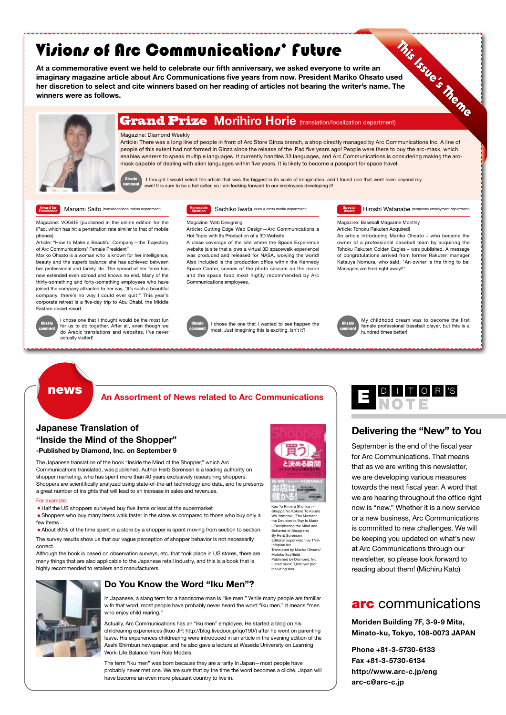## Visions of Arc Communications' Future

**Arc Community Community Community**<br>ent we held to celebrate our fifth anniversary, we asked even,<br>cle about Arc Communications five years from now. President Mariko Communication<br>and cite winners based on her reading of a At a commemorative event we held to celebrate our fifth anniversary, we asked everyone to write an imaginary magazine article about Arc Communications five years from now. President Mariko Ohsato used her discretion to select and cite winners based on her reading of articles not bearing the writer's name. The winners were as follows.



#### Magazine: Diamond Weekly

Article: There was a long line of people in front of Arc Store Ginza branch, a shop directly managed by Arc Communications Inc. A line of people of this extent had not formed in Ginza since the release of the iPad five years ago! People were there to buy the arc-mask, which enables wearers to speak multiple languages. It currently handles 33 languages, and Arc Communications is considering making the arcmask capable of dealing with alien languages within five years. It is likely to become a passport for space travel.



I thought I would select the article that was the biggest in its scale of imagination, and I found one that went even beyond my own! It is sure to be a hot seller, so I am looking forward to our employees developing it!

#### Award for

Manami Saito (transla

Magazine: VOGUE (published in the online edition for the iPad, which has hit a penetration rate similar to that of mobile phones)

Article: "How to Make a Beautiful Company—the Trajectory of Arc Communications' Female President"

Mariko Ohsato is a woman who is known for her intelligence, beauty and the superb balance she has achieved between her professional and family life. The spread of her fame has now extended even abroad and knows no end. Many of the thirty-something and forty-something employees who have joined the company attracted to her say, "It's such a beautiful company, there's no way I could ever quit!" This year's corporate retreat is a five-day trip to Abu Dhabi, the Middle Eastern desert resort.



I chose one that I thought would be the most fun for us to do together. After all, even though we do Arabic translations and websites, I've never actually visited!

Sachiko Iwata (web & cross media department) Honorable

#### Magazine: Web Designing

Article: Cutting Edge Web Design—Arc Communications a

Hot Topic with Its Production of a 3D Website A close coverage of the site where the Space Experience website (a site that allows a virtual 3D spacewalk experience) was produced and released for NASA, wowing the world! Also included is the production office within the Kennedy Space Center, scenes of the photo session on the moon and the space food most highly recommended by Arc Communications employees.



I chose the one that I wanted to see happen the most. Just imagining this is exciting, isn't it?

**Mention** Sachiko Iwata (web & cross media department) **Sachi Award Hiroshi Watanabe** (temporary employment department)

Magazine: Baseball Magazine Monthly Article: Tohoku Rakuten Acquired!

An article introducing Mariko Ohsato – who became the owner of a professional baseball team by acquiring the Tohoku Rakuten Golden Eagles – was published. A message of congratulations arrived from former Rakuten manager Katsuya Nomura, who said, "An owner is the thing to be! Managers are fired right away!!"



My childhood dream was to become the first female professional baseball player, but this is a hundred times better!

## news

## Japanese Translation of "Inside the Mind of the Shopper"

#### -Published by Diamond, Inc. on September 9

The Japanese translation of the book "Inside the Mind of the Shopper," which Arc Communications translated, was published. Author Herb Sorensen is a leading authority on shopper marketing, who has spent more than 40 years exclusively researching shoppers. Shoppers are scientifically analyzed using state-of-the-art technology and data, and he presents a great number of insights that will lead to an increase in sales and revenues.

#### For example:

• Half the US shoppers surveyed buy five items or less at the supermarket

• Shoppers who buy many items walk faster in the store as compared to those who buy only a few items

• About 80% of the time spent in a store by a shopper is spent moving from section to section The survey results show us that our vague perception of shopper behavior is not necessarily correct.

Although the book is based on observation surveys, etc. that took place in US stores, there are many things that are also applicable to the Japanese retail industry, and this is a book that is highly recommended to retailers and manufacturers.



#### Do You Know the Word "Iku Men"?

In Japanese, a slang term for a handsome man is "ike men." While many people are familiar with that word, most people have probably never heard the word "iku men." It means "men who enjoy child rearing."

Actually, Arc Communications has an "iku men" employee. He started a blog on his childrearing experiences (Ikuo JP: http://blog.livedoor.jp/iqo190/) after he went on parenting leave. His experiences childrearing were introduced in an article in the evening edition of the Asahi Shimbun newspaper, and he also gave a lecture at Waseda University on Learning Work-Life Balance from Role Models.

The term "iku men" was born because they are a rarity in Japan—most people have probably never met one. We are sure that by the time the word becomes a cliché, Japan will have become an even more pleasant country to live in.



## Delivering the "New" to You

September is the end of the fiscal year for Arc Communications. That means that as we are writing this newsletter, we are developing various measures towards the next fiscal year. A word that we are hearing throughout the office right now is "new." Whether it is a new service or a new business, Arc Communications is committed to new challenges. We will be keeping you updated on what's new at Arc Communications through our newsletter, so please look forward to reading about them! (Michiru Kato)

## arc communications

Moriden Building 7F, 3-9-9 Mita, Minato-ku, Tokyo, 108-0073 JAPAN

Phone +81-3-5730-6133 Fax +81-3-5730-6134 http://www.arc-c.jp/eng arc-c@arc-c.jp



Shoppa No Kokoro To Koudo Wo Yomitoku (The Mon the Decision to Buy Is Made – Deciphering the Mind and Behavior of Shoppers) By Herb Sorensen Editorial supervision by TNS-Infoplan Inc. Translated by Mariko Ohsato/ Motoko Scoffield Published by Diamond, Inc. Listed price: 1,800 yen (not including tax)